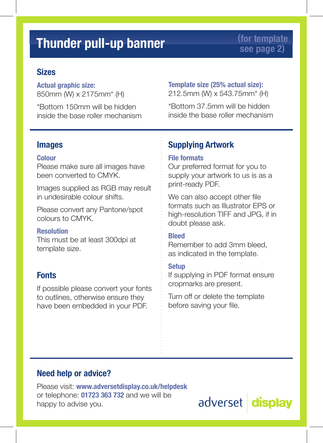# **Sizes**

**Actual graphic size:** 850mm (W) x 2175mm\* (H)

\*Bottom 150mm will be hidden inside the base roller mechanism

#### **Template size (25% actual size):** 212.5mm (W) x 543.75mm\* (H)

\*Bottom 37.5mm will be hidden inside the base roller mechanism

## **Images**

#### **Colour**

Please make sure all images have been converted to CMYK.

Images supplied as RGB may result in undesirable colour shifts.

Please convert any Pantone/spot colours to CMYK.

#### **Resolution**

This must be at least 300dpi at template size.

# **Fonts**

If possible please convert your fonts to outlines, otherwise ensure they have been embedded in your PDF.

# **Supplying Artwork**

#### **File formats**

Our preferred format for you to supply your artwork to us is as a print-ready PDF.

We can also accept other file formats such as Illustrator EPS or high-resolution TIFF and JPG, if in doubt please ask.

#### **Bleed**

Remember to add 3mm bleed, as indicated in the template.

#### **Setup**

If supplying in PDF format ensure cropmarks are present.

Turn off or delete the template before saving your file.

### **Need help or advice?**

Please visit: **www.adversetdisplay.co.uk/helpdesk** or telephone: **01723 363 732** and we will be happy to advise you.

adverset